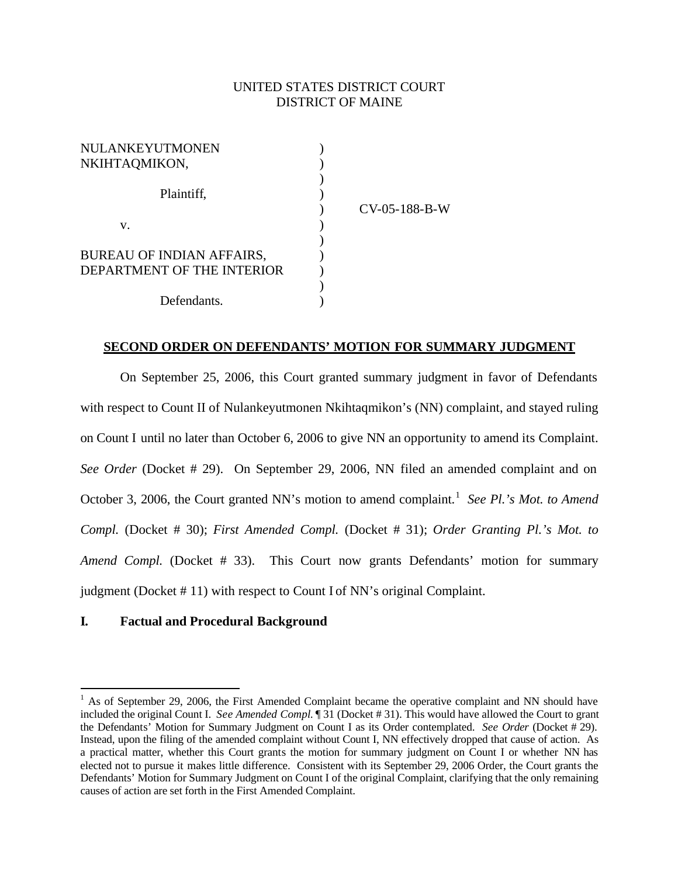# UNITED STATES DISTRICT COURT DISTRICT OF MAINE

| NULANKEYUTMONEN                  |                 |
|----------------------------------|-----------------|
| NKIHTAQMIKON,                    |                 |
|                                  |                 |
| Plaintiff,                       |                 |
|                                  | $CV-05-188-B-W$ |
| v.                               |                 |
|                                  |                 |
| <b>BUREAU OF INDIAN AFFAIRS,</b> |                 |
| DEPARTMENT OF THE INTERIOR       |                 |
|                                  |                 |
| Defendants.                      |                 |

#### **SECOND ORDER ON DEFENDANTS' MOTION FOR SUMMARY JUDGMENT**

On September 25, 2006, this Court granted summary judgment in favor of Defendants with respect to Count II of Nulankeyutmonen Nkihtaqmikon's (NN) complaint, and stayed ruling on Count I until no later than October 6, 2006 to give NN an opportunity to amend its Complaint. *See Order* (Docket # 29). On September 29, 2006, NN filed an amended complaint and on October 3, 2006, the Court granted NN's motion to amend complaint.<sup>1</sup> See Pl.'s Mot. to Amend *Compl.* (Docket # 30); *First Amended Compl.* (Docket # 31); *Order Granting Pl.'s Mot. to Amend Compl.* (Docket # 33). This Court now grants Defendants' motion for summary judgment (Docket # 11) with respect to Count I of NN's original Complaint.

#### **I. Factual and Procedural Background**

 $\overline{a}$ 

 $1$  As of September 29, 2006, the First Amended Complaint became the operative complaint and NN should have included the original Count I. *See Amended Compl.* ¶ 31 (Docket # 31). This would have allowed the Court to grant the Defendants' Motion for Summary Judgment on Count I as its Order contemplated. *See Order* (Docket # 29). Instead, upon the filing of the amended complaint without Count I, NN effectively dropped that cause of action. As a practical matter, whether this Court grants the motion for summary judgment on Count I or whether NN has elected not to pursue it makes little difference. Consistent with its September 29, 2006 Order, the Court grants the Defendants' Motion for Summary Judgment on Count I of the original Complaint, clarifying that the only remaining causes of action are set forth in the First Amended Complaint.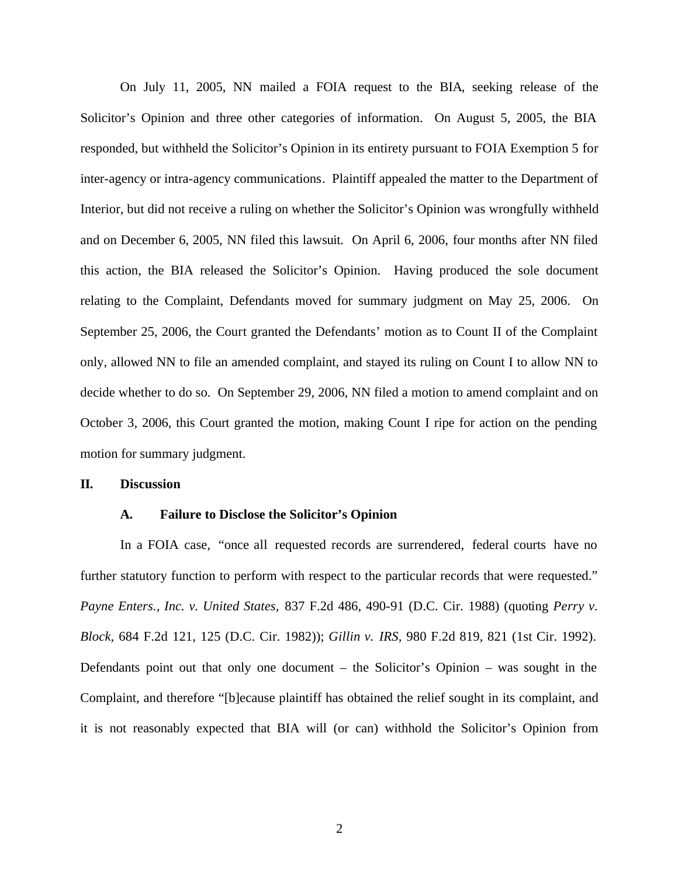On July 11, 2005, NN mailed a FOIA request to the BIA, seeking release of the Solicitor's Opinion and three other categories of information. On August 5, 2005, the BIA responded, but withheld the Solicitor's Opinion in its entirety pursuant to FOIA Exemption 5 for inter-agency or intra-agency communications. Plaintiff appealed the matter to the Department of Interior, but did not receive a ruling on whether the Solicitor's Opinion was wrongfully withheld and on December 6, 2005, NN filed this lawsuit. On April 6, 2006, four months after NN filed this action, the BIA released the Solicitor's Opinion. Having produced the sole document relating to the Complaint, Defendants moved for summary judgment on May 25, 2006. On September 25, 2006, the Court granted the Defendants' motion as to Count II of the Complaint only, allowed NN to file an amended complaint, and stayed its ruling on Count I to allow NN to decide whether to do so. On September 29, 2006, NN filed a motion to amend complaint and on October 3, 2006, this Court granted the motion, making Count I ripe for action on the pending motion for summary judgment.

#### **II. Discussion**

#### **A. Failure to Disclose the Solicitor's Opinion**

In a FOIA case, "once all requested records are surrendered, federal courts have no further statutory function to perform with respect to the particular records that were requested." *Payne Enters., Inc. v. United States,* 837 F.2d 486, 490-91 (D.C. Cir. 1988) (quoting *Perry v. Block,* 684 F.2d 121, 125 (D.C. Cir. 1982)); *Gillin v. IRS,* 980 F.2d 819, 821 (1st Cir. 1992). Defendants point out that only one document – the Solicitor's Opinion – was sought in the Complaint, and therefore "[b]ecause plaintiff has obtained the relief sought in its complaint, and it is not reasonably expected that BIA will (or can) withhold the Solicitor's Opinion from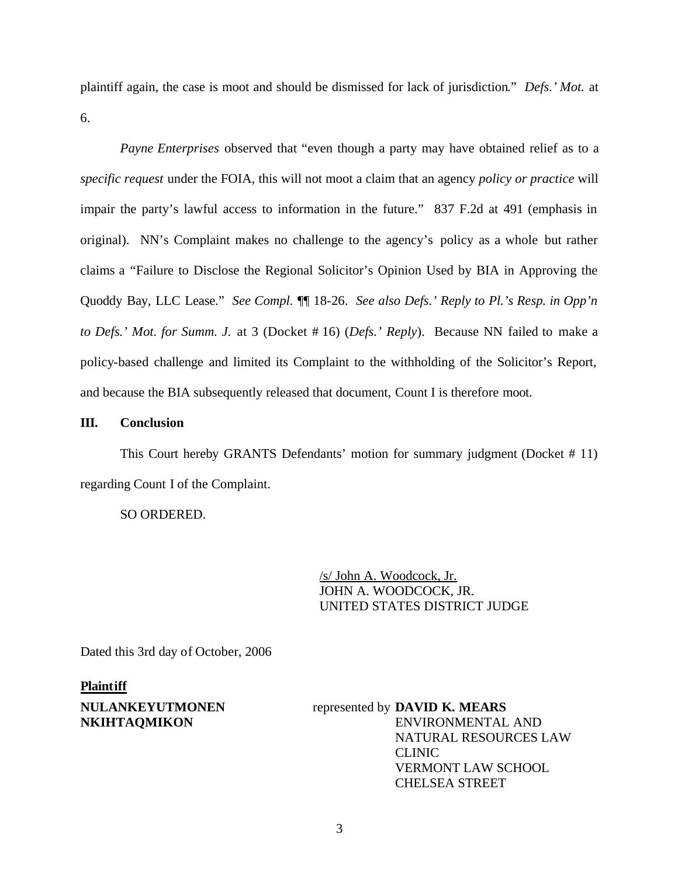plaintiff again, the case is moot and should be dismissed for lack of jurisdiction." *Defs.' Mot.* at 6.

*Payne Enterprises* observed that "even though a party may have obtained relief as to a *specific request* under the FOIA, this will not moot a claim that an agency *policy or practice* will impair the party's lawful access to information in the future." 837 F.2d at 491 (emphasis in original). NN's Complaint makes no challenge to the agency's policy as a whole but rather claims a "Failure to Disclose the Regional Solicitor's Opinion Used by BIA in Approving the Quoddy Bay, LLC Lease." *See Compl.* ¶¶ 18-26. *See also Defs.' Reply to Pl.'s Resp. in Opp'n to Defs.' Mot. for Summ. J.* at 3 (Docket # 16) (*Defs.' Reply*). Because NN failed to make a policy-based challenge and limited its Complaint to the withholding of the Solicitor's Report, and because the BIA subsequently released that document, Count I is therefore moot.

#### **III. Conclusion**

This Court hereby GRANTS Defendants' motion for summary judgment (Docket # 11) regarding Count I of the Complaint.

SO ORDERED.

/s/ John A. Woodcock, Jr. JOHN A. WOODCOCK, JR. UNITED STATES DISTRICT JUDGE

Dated this 3rd day of October, 2006

#### **Plaintiff**

### **NULANKEYUTMONEN NKIHTAQMIKON**

## represented by **DAVID K. MEARS** ENVIRONMENTAL AND NATURAL RESOURCES LAW CLINIC VERMONT LAW SCHOOL CHELSEA STREET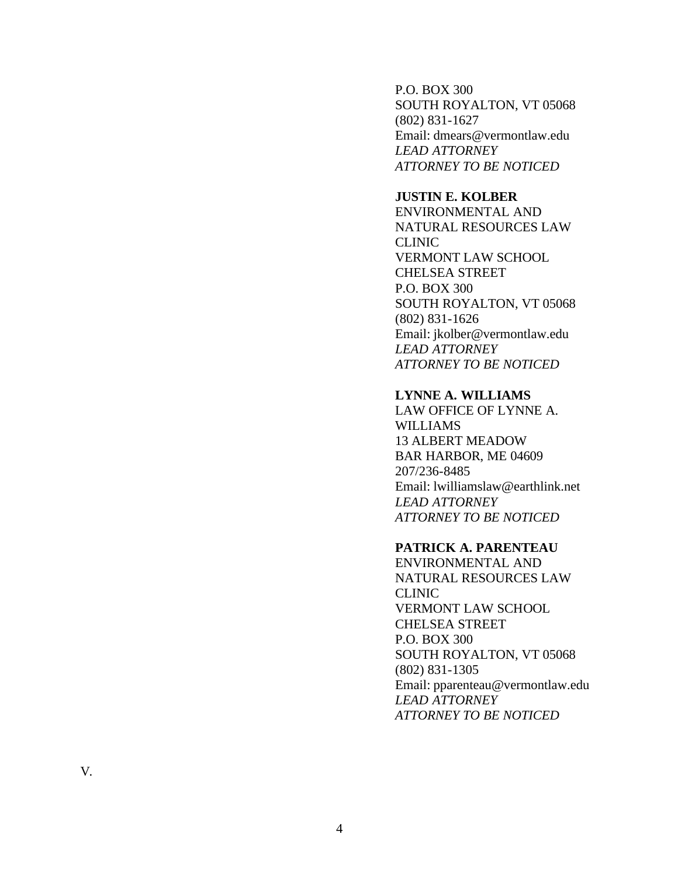P.O. BOX 300 SOUTH ROYALTON, VT 05068 (802) 831 -1627 Email: dmears@vermontlaw.edu *LEAD ATTORNEY ATTORNEY TO BE NOTICED*

### **JUSTIN E. KOLBER**

ENVIRONMENTAL AND NATURAL RESOURCES LAW CLINIC VERMONT LAW SCHOOL CHELSEA STREET P.O. BOX 300 SOUTH ROYALTON, VT 05068 (802) 831 -1626 Email: jkolber@vermontlaw.edu *LEAD ATTORNEY ATTORNEY TO BE NOTICED*

#### **LYNNE A. WILLIAMS**

LAW OFFICE OF LYNNE A. WILLIAMS 13 ALBERT MEADOW BAR HARBOR, ME 04609 207/236 -8485 Email: lwilliamslaw@earthlink.net *LEAD ATTORNEY ATTORNEY TO BE NOTICED*

# **PATRICK A. PARENTEAU**

ENVIRONMENTAL AND NATURAL RESOURCES LAW CLINIC VERMONT LAW SCHOOL CHELSEA STREET P.O. BOX 300 SOUTH ROYALTON, VT 05068 (802) 831 -1305 Email: pparenteau@vermontlaw.edu *LEAD ATTORNEY ATTORNEY TO BE NOTICED*

V.